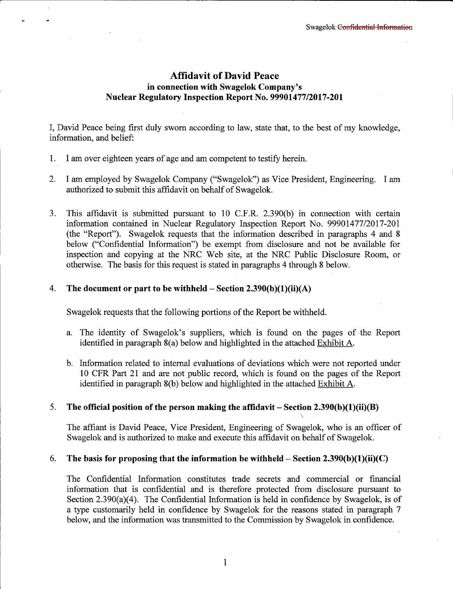# **Affidavit of David Peace in connection with Swagelok Company's Nuclear Regulatory Inspection Report** No. **99901477/2017-201**

I, David Peace being first duly sworn according to law, state that, to the best of my knowledge, information, and belief:

- 1. I am over eighteen years of age and am competent to testify herein.
- 2. I am employed by Swagelok Company ("Swagelok") as Vice President, Engineering. I am authorized to submit this affidavit on behalf of Swagelok.
- 3. This affidavit is submitted pursuant to 10 C.F.R. 2.390(b) in connection with certain information contained in Nuclear Regulatory Inspection Report No. 99901477/2017-201 (the "Report"). Swagelok requests that the information described in paragraphs 4 and 8 below ("Confidential Information") be exempt from disclosure and not be available for inspection and copying at the NRC Web site, at the NRC Public Disclosure Room, or otherwise. The basis for this request is stated in paragraphs 4 through 8 below.

### 4. **The document or part to be withheld - Section 2.390(b)(l)(ii)(A)**

Swagelok requests that the following portions of the Report be withheld.

- a. The identity of Swagelok's suppliers, which is found on the pages of the Report identified in paragraph 8(a) below and highlighted in the attached Exhibit A.
- b. Information related to internal evaluations of deviations which were not reported under 10 CFR Part 21 and are not public record, which is found on the pages of the Report identified in paragraph 8(b) below and highlighted in the attached Exhibit A.

## 5. **The official position of the person making the affidavit - Section 2.390(b )(1 )(ii)(B)**

The affiant is David Peace, Vice President, Engineering of Swagelok, who is an officer of Swagelok and is authorized to make and execute this affidavit on behalf of Swagelok.

#### 6. **The basis for proposing that the information be withheld- Section 2.390(b)(l)(ii)(C)**

The Confidential Information constitutes trade secrets and commercial or financial information that is confidential and is therefore protected from disclosure pursuant to Section 2.390(a)(4). The Confidential Information is held in confidence by Swagelok, is of a type customarily held in confidence by Swagelok for the reasons stated in paragraph 7 below, and the information was transmitted to the Commission by Swagelok in confidence.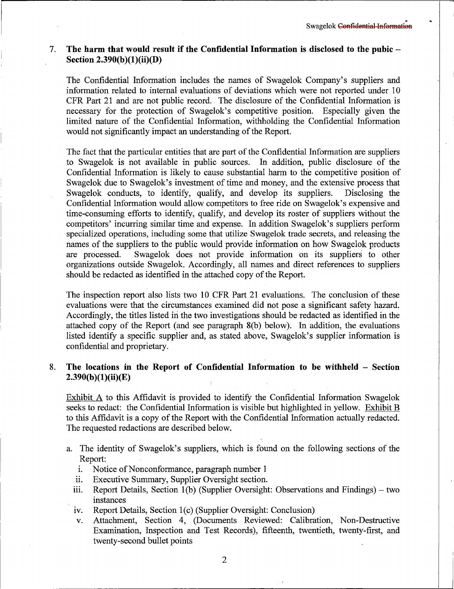#### 7. **The harm that would result if the Confidential Information is disclosed to the pubic** - Section 2.390(b)(1)(ii)(D)

The Confidential Information includes the names of Swagelok Company's suppliers and information related to internal evaluations of deviations which were not reported under 10 CFR Part 21 and are not public record. The disclosure of the Confidential Information is necessary for the protection of Swagelok's competitive position. Especially given the limited nature of the Confidential Information, withholding the Confidential Information would not significantly impact an understanding of the Report.

The fact that the particular entities that are part of the Confidential Information are suppliers to Swagelok is not available in public sources. In addition, public disclosure of the Confidential Information is likely to cause substantial harm to the competitive position of Swagelok due to Swagelok's investment of time and money, and the extensive process that Swagelok conducts, to identify, qualify, and develop its suppliers. Disclosing the Swagelok conducts, to identify, qualify, and develop its suppliers. Confidential Information would allow competitors to free ride on Swagelok's expensive and time-consuming efforts to identify, qualify, and develop its roster of suppliers without the competitors' incurring similar time and expense. In addition Swagelok's suppliers perform specialized operations, including some that utilize Swagelok trade secrets, and releasing the names of the suppliers to the public would provide information on how Swagelok products are processed. Swagelok does not provide information on its suppliers to other organizations outside Swagelok. Accordingly, all names and direct references to suppliers should be redacted as identified in the attached copy of the Report.

The inspection report also lists two 10 CFR Part 21 evaluations. The conclusion of these evaluations were that the circumstances examined did not pose a significant safety hazard. Accordingly, the titles listed in the two investigations should be redacted as identified in the attached copy of the Report (and see paragraph 8(b) below). In addition, the evaluations listed identify a specific supplier and, as stated above, Swagelok's supplier information is confidential and proprietary.

#### 8. **The locations in the Report of Confidential Information to be withheld - Section 2.390(b )(1 )(ii)(E)**

Exhibit A to this Affidavit is provided to identify the Confidential Information Swagelok seeks to redact: the Confidential Information is visible but highlighted in yellow. Exhibit B to this Affidavit is a copy of the Report with the Confidential Information actually redacted. The requested redactions are described below.

- a. The identity of Swagelok's suppliers, which is found on the following sections of the Report:
	- i. Notice of Nonconformance, paragraph number 1
	- ii. Executive Summary, Supplier Oversight section.
	- iii. Report Details, Section  $1(b)$  (Supplier Oversight: Observations and Findings) two instances
	- 1v. Report Details, Section l(c) (Supplier Oversight: Conclusion)
	- v. Attachment, Section 4, (Documents Reviewed: Calibration, Non-Destructive Examination, Inspection and Test Records), fifteenth, twentieth, twenty-first, and twenty-second bullet points